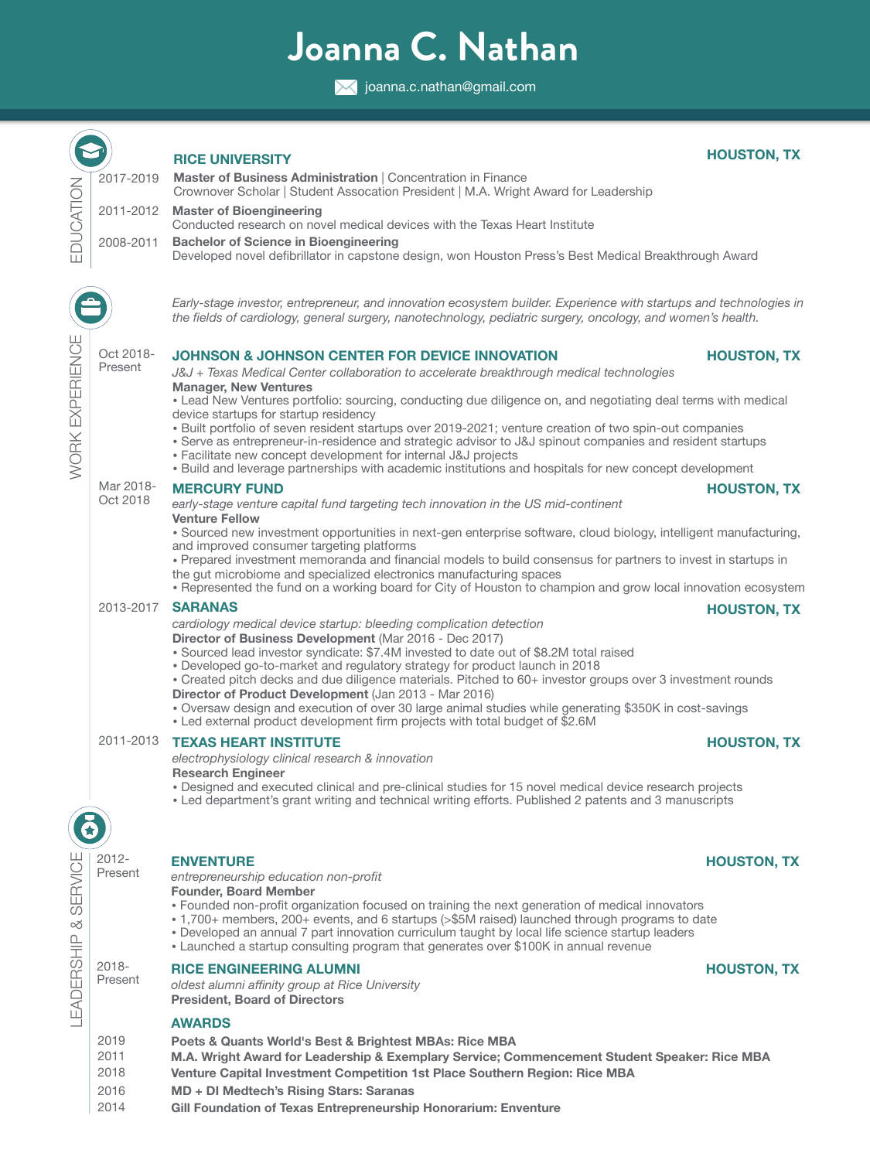# **Joanna C. Nathan**

**X** joanna.c.nathan@gmail.com